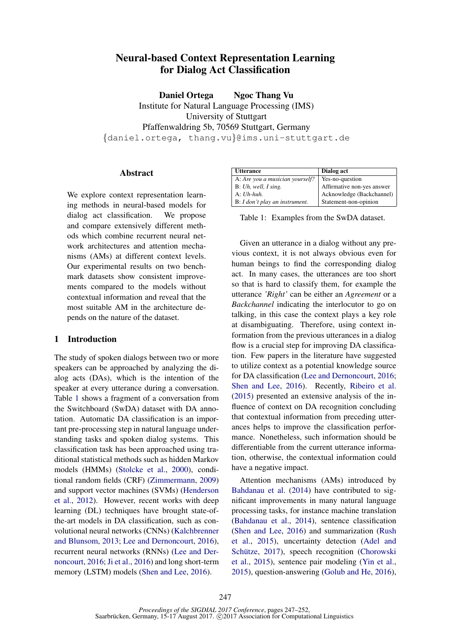# Neural-based Context Representation Learning for Dialog Act Classification

Daniel Ortega Ngoc Thang Vu Institute for Natural Language Processing (IMS) University of Stuttgart Pfaffenwaldring 5b, 70569 Stuttgart, Germany {daniel.ortega, thang.vu}@ims.uni-stuttgart.de

## Abstract

We explore context representation learning methods in neural-based models for dialog act classification. We propose and compare extensively different methods which combine recurrent neural network architectures and attention mechanisms (AMs) at different context levels. Our experimental results on two benchmark datasets show consistent improvements compared to the models without contextual information and reveal that the most suitable AM in the architecture depends on the nature of the dataset.

# 1 Introduction

The study of spoken dialogs between two or more speakers can be approached by analyzing the dialog acts (DAs), which is the intention of the speaker at every utterance during a conversation. Table 1 shows a fragment of a conversation from the Switchboard (SwDA) dataset with DA annotation. Automatic DA classification is an important pre-processing step in natural language understanding tasks and spoken dialog systems. This classification task has been approached using traditional statistical methods such as hidden Markov models (HMMs) (Stolcke et al., 2000), conditional random fields (CRF) (Zimmermann, 2009) and support vector machines (SVMs) (Henderson et al., 2012). However, recent works with deep learning (DL) techniques have brought state-ofthe-art models in DA classification, such as convolutional neural networks (CNNs) (Kalchbrenner and Blunsom, 2013; Lee and Dernoncourt, 2016), recurrent neural networks (RNNs) (Lee and Dernoncourt, 2016; Ji et al., 2016) and long short-term memory (LSTM) models (Shen and Lee, 2016).

| <b>Utterance</b>                | Dialog act                 |
|---------------------------------|----------------------------|
| A: Are you a musician yourself? | Yes-no-question            |
| B: Uh, well, I sing.            | Affirmative non-yes answer |
| $A: Uh-huh$ .                   | Acknowledge (Backchannel)  |
| B: I don't play an instrument.  | Statement-non-opinion      |

Table 1: Examples from the SwDA dataset.

Given an utterance in a dialog without any previous context, it is not always obvious even for human beings to find the corresponding dialog act. In many cases, the utterances are too short so that is hard to classify them, for example the utterance *'Right'* can be either an *Agreement* or a *Backchannel* indicating the interlocutor to go on talking, in this case the context plays a key role at disambiguating. Therefore, using context information from the previous utterances in a dialog flow is a crucial step for improving DA classification. Few papers in the literature have suggested to utilize context as a potential knowledge source for DA classification (Lee and Dernoncourt, 2016; Shen and Lee, 2016). Recently, Ribeiro et al. (2015) presented an extensive analysis of the influence of context on DA recognition concluding that contextual information from preceding utterances helps to improve the classification performance. Nonetheless, such information should be differentiable from the current utterance information, otherwise, the contextual information could have a negative impact.

Attention mechanisms (AMs) introduced by Bahdanau et al. (2014) have contributed to significant improvements in many natural language processing tasks, for instance machine translation (Bahdanau et al., 2014), sentence classification (Shen and Lee, 2016) and summarization (Rush et al., 2015), uncertainty detection (Adel and Schütze, 2017), speech recognition (Chorowski et al., 2015), sentence pair modeling (Yin et al., 2015), question-answering (Golub and He, 2016),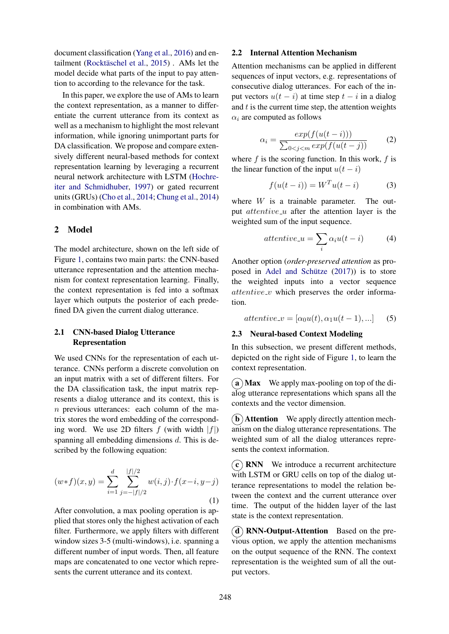document classification (Yang et al., 2016) and entailment (Rocktäschel et al., 2015). AMs let the model decide what parts of the input to pay attention to according to the relevance for the task.

In this paper, we explore the use of AMs to learn the context representation, as a manner to differentiate the current utterance from its context as well as a mechanism to highlight the most relevant information, while ignoring unimportant parts for DA classification. We propose and compare extensively different neural-based methods for context representation learning by leveraging a recurrent neural network architecture with LSTM (Hochreiter and Schmidhuber, 1997) or gated recurrent units (GRUs) (Cho et al., 2014; Chung et al., 2014) in combination with AMs.

# 2 Model

The model architecture, shown on the left side of Figure 1, contains two main parts: the CNN-based utterance representation and the attention mechanism for context representation learning. Finally, the context representation is fed into a softmax layer which outputs the posterior of each predefined DA given the current dialog utterance.

## 2.1 CNN-based Dialog Utterance Representation

We used CNNs for the representation of each utterance. CNNs perform a discrete convolution on an input matrix with a set of different filters. For the DA classification task, the input matrix represents a dialog utterance and its context, this is n previous utterances: each column of the matrix stores the word embedding of the corresponding word. We use 2D filters  $f$  (with width  $|f|$ ) spanning all embedding dimensions d. This is described by the following equation:

$$
(w*f)(x,y) = \sum_{i=1}^{d} \sum_{j=-|f|/2}^{|f|/2} w(i,j) \cdot f(x-i, y-j)
$$
\n(1)

After convolution, a max pooling operation is applied that stores only the highest activation of each filter. Furthermore, we apply filters with different window sizes 3-5 (multi-windows), i.e. spanning a different number of input words. Then, all feature maps are concatenated to one vector which represents the current utterance and its context.

## 2.2 Internal Attention Mechanism

Attention mechanisms can be applied in different sequences of input vectors, e.g. representations of consecutive dialog utterances. For each of the input vectors  $u(t - i)$  at time step  $t - i$  in a dialog and  $t$  is the current time step, the attention weights  $\alpha_i$  are computed as follows

$$
\alpha_i = \frac{exp(f(u(t-i)))}{\sum_{0 < j < m} exp(f(u(t-j))} \tag{2}
$$

where  $f$  is the scoring function. In this work,  $f$  is the linear function of the input  $u(t - i)$ 

$$
f(u(t-i)) = WTu(t-i)
$$
 (3)

where  $W$  is a trainable parameter. The output  $\textit{attentive\_u}$  after the attention layer is the weighted sum of the input sequence.

$$
attentive\_u = \sum_{i} \alpha_i u(t - i) \tag{4}
$$

Another option (*order-preserved attention* as proposed in Adel and Schütze  $(2017)$ ) is to store the weighted inputs into a vector sequence  $attentive_v$  which preserves the order information.

$$
attentive_v = [\alpha_0 u(t), \alpha_1 u(t-1), \dots] \qquad (5)
$$

## 2.3 Neural-based Context Modeling

In this subsection, we present different methods, depicted on the right side of Figure 1, to learn the context representation.

 $(a)$  Max We apply max-pooling on top of the dialog utterance representations which spans all the contexts and the vector dimension.

 **Attention We apply directly attention mech**anism on the dialog utterance representations. The weighted sum of all the dialog utterances represents the context information.

 $(c)$  RNN We introduce a recurrent architecture with LSTM or GRU cells on top of the dialog utterance representations to model the relation between the context and the current utterance over time. The output of the hidden layer of the last state is the context representation.

 $(d)$  RNN-Output-Attention Based on the previous option, we apply the attention mechanisms on the output sequence of the RNN. The context representation is the weighted sum of all the output vectors.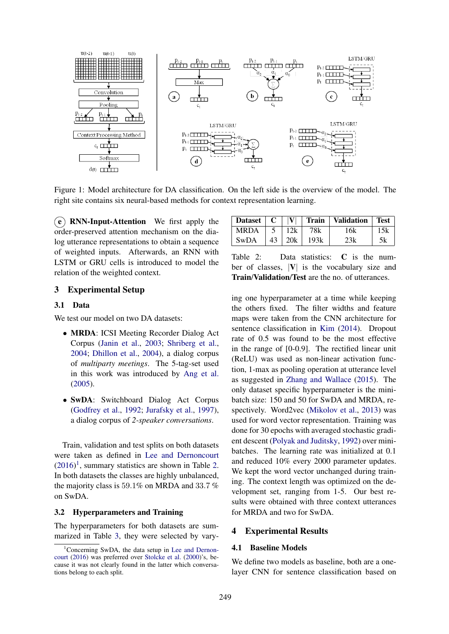

Figure 1: Model architecture for DA classification. On the left side is the overview of the model. The right site contains six neural-based methods for context representation learning.

 $(e)$  RNN-Input-Attention We first apply the order-preserved attention mechanism on the dialog utterance representations to obtain a sequence of weighted inputs. Afterwards, an RNN with LSTM or GRU cells is introduced to model the relation of the weighted context.

# MRDA 5 | 12k | 78k | 16k | 15k SwDA |  $43$  |  $20k$  |  $193k$  |  $23k$  | 5k Table 2: Data statistics: C is the num-

Dataset  $C \mid V|$  Train Validation Test

ber of classes,  $|V|$  is the vocabulary size and Train/Validation/Test are the no. of utterances.

## 3 Experimental Setup

# 3.1 Data

We test our model on two DA datasets:

- MRDA: ICSI Meeting Recorder Dialog Act Corpus (Janin et al., 2003; Shriberg et al., 2004; Dhillon et al., 2004), a dialog corpus of *multiparty meetings*. The 5-tag-set used in this work was introduced by Ang et al. (2005).
- SwDA: Switchboard Dialog Act Corpus (Godfrey et al., 1992; Jurafsky et al., 1997), a dialog corpus of *2-speaker conversations*.

Train, validation and test splits on both datasets were taken as defined in Lee and Dernoncourt  $(2016)^1$ , summary statistics are shown in Table 2. In both datasets the classes are highly unbalanced, the majority class is 59.1% on MRDA and 33.7 % on SwDA.

#### 3.2 Hyperparameters and Training

The hyperparameters for both datasets are summarized in Table 3, they were selected by vary-

ing one hyperparameter at a time while keeping the others fixed. The filter widths and feature maps were taken from the CNN architecture for sentence classification in Kim (2014). Dropout rate of 0.5 was found to be the most effective in the range of [0-0.9]. The rectified linear unit (ReLU) was used as non-linear activation function, 1-max as pooling operation at utterance level as suggested in Zhang and Wallace (2015). The only dataset specific hyperparameter is the minibatch size: 150 and 50 for SwDA and MRDA, respectively. Word2vec (Mikolov et al., 2013) was used for word vector representation. Training was done for 30 epochs with averaged stochastic gradient descent (Polyak and Juditsky, 1992) over minibatches. The learning rate was initialized at 0.1 and reduced 10% every 2000 parameter updates. We kept the word vector unchanged during training. The context length was optimized on the development set, ranging from 1-5. Our best results were obtained with three context utterances for MRDA and two for SwDA.

## 4 Experimental Results

# 4.1 Baseline Models

We define two models as baseline, both are a onelayer CNN for sentence classification based on

 $1$ Concerning SwDA, the data setup in Lee and Dernoncourt (2016) was preferred over Stolcke et al. (2000)'s, because it was not clearly found in the latter which conversations belong to each split.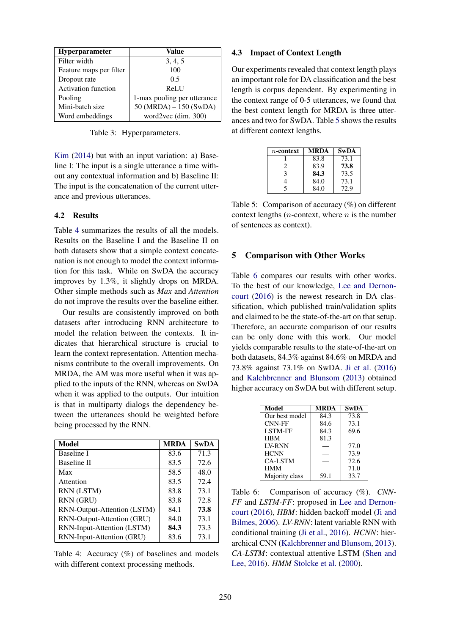| <b>Hyperparameter</b>      | Value                       |  |
|----------------------------|-----------------------------|--|
| Filter width               | 3, 4, 5                     |  |
| Feature maps per filter    | 100                         |  |
| Dropout rate               | 0.5                         |  |
| <b>Activation function</b> | ReLU                        |  |
| Pooling                    | 1-max pooling per utterance |  |
| Mini-batch size            | $50 (MRDA) - 150 (SwDA)$    |  |
| Word embeddings            | word2vec (dim. 300)         |  |

Table 3: Hyperparameters.

Kim (2014) but with an input variation: a) Baseline I: The input is a single utterance a time without any contextual information and b) Baseline II: The input is the concatenation of the current utterance and previous utterances.

## 4.2 Results

Table 4 summarizes the results of all the models. Results on the Baseline I and the Baseline II on both datasets show that a simple context concatenation is not enough to model the context information for this task. While on SwDA the accuracy improves by 1.3%, it slightly drops on MRDA. Other simple methods such as *Max* and *Attention* do not improve the results over the baseline either.

Our results are consistently improved on both datasets after introducing RNN architecture to model the relation between the contexts. It indicates that hierarchical structure is crucial to learn the context representation. Attention mechanisms contribute to the overall improvements. On MRDA, the AM was more useful when it was applied to the inputs of the RNN, whereas on SwDA when it was applied to the outputs. Our intuition is that in multiparty dialogs the dependency between the utterances should be weighted before being processed by the RNN.

| Model                       | <b>MRDA</b> | <b>SwDA</b> |
|-----------------------------|-------------|-------------|
| <b>Baseline I</b>           | 83.6        | 71.3        |
| Baseline II                 | 83.5        | 72.6        |
| Max                         | 58.5        | 48.0        |
| Attention                   | 83.5        | 72.4        |
| RNN (LSTM)                  | 83.8        | 73.1        |
| RNN (GRU)                   | 83.8        | 72.8        |
| RNN-Output-Attention (LSTM) | 84.1        | 73.8        |
| RNN-Output-Attention (GRU)  | 84.0        | 73.1        |
| RNN-Input-Attention (LSTM)  | 84.3        | 73.3        |
| RNN-Input-Attention (GRU)   | 83.6        | 73.1        |

Table 4: Accuracy (%) of baselines and models with different context processing methods.

## 4.3 Impact of Context Length

Our experiments revealed that context length plays an important role for DA classification and the best length is corpus dependent. By experimenting in the context range of 0-5 utterances, we found that the best context length for MRDA is three utterances and two for SwDA. Table 5 shows the results at different context lengths.

| $n$ -context           | MRDA | <b>SwDA</b> |
|------------------------|------|-------------|
|                        | 83.8 | 73.1        |
| $\mathfrak{D}_{\cdot}$ | 83.9 | 73.8        |
| 3                      | 84.3 | 73.5        |
|                        | 84.0 | 73.1        |
| 5                      | 84.0 | 72.9        |

Table 5: Comparison of accuracy (%) on different context lengths  $(n$ -context, where  $n$  is the number of sentences as context).

#### 5 Comparison with Other Works

Table 6 compares our results with other works. To the best of our knowledge, Lee and Dernoncourt (2016) is the newest research in DA classification, which published train/validation splits and claimed to be the state-of-the-art on that setup. Therefore, an accurate comparison of our results can be only done with this work. Our model yields comparable results to the state-of-the-art on both datasets, 84.3% against 84.6% on MRDA and 73.8% against 73.1% on SwDA. Ji et al. (2016) and Kalchbrenner and Blunsom (2013) obtained higher accuracy on SwDA but with different setup.

| Model          | MRDA | <b>SwDA</b> |
|----------------|------|-------------|
| Our best model | 84.3 | 73.8        |
| <b>CNN-FF</b>  | 84.6 | 73.1        |
| <b>LSTM-FF</b> | 84.3 | 69.6        |
| <b>HBM</b>     | 81.3 |             |
| <b>IV-RNN</b>  |      | 77.0        |
| <b>HCNN</b>    |      | 73.9        |
| <b>CA-LSTM</b> |      | 72.6        |
| <b>HMM</b>     |      | 71.0        |
| Majority class | 59.1 | 33.7        |

Table 6: Comparison of accuracy  $(\%)$ . *CNN*-*FF* and *LSTM-FF*: proposed in Lee and Dernoncourt (2016), *HBM*: hidden backoff model (Ji and Bilmes, 2006). *LV-RNN*: latent variable RNN with conditional training (Ji et al., 2016). *HCNN*: hierarchical CNN (Kalchbrenner and Blunsom, 2013). *CA-LSTM*: contextual attentive LSTM (Shen and Lee, 2016). *HMM* Stolcke et al. (2000).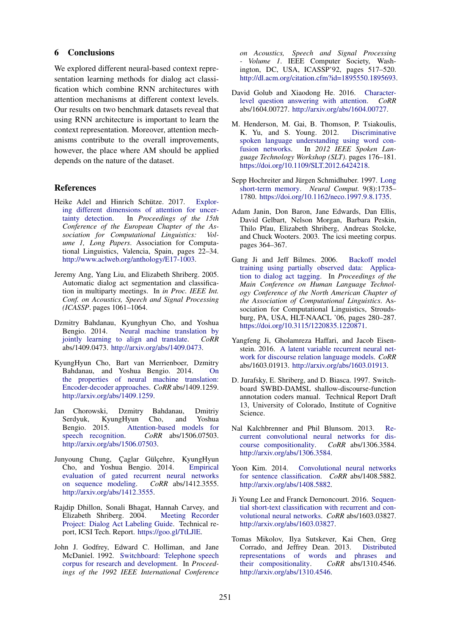## 6 Conclusions

We explored different neural-based context representation learning methods for dialog act classification which combine RNN architectures with attention mechanisms at different context levels. Our results on two benchmark datasets reveal that using RNN architecture is important to learn the context representation. Moreover, attention mechanisms contribute to the overall improvements, however, the place where AM should be applied depends on the nature of the dataset.

## References

- Heike Adel and Hinrich Schütze. 2017. Exploring different dimensions of attention for uncertainty detection. In *Proceedings of the 15th Conference of the European Chapter of the Association for Computational Linguistics: Volume 1, Long Papers*. Association for Computational Linguistics, Valencia, Spain, pages 22–34. http://www.aclweb.org/anthology/E17-1003.
- Jeremy Ang, Yang Liu, and Elizabeth Shriberg. 2005. Automatic dialog act segmentation and classification in multiparty meetings. In *in Proc. IEEE Int. Conf. on Acoustics, Speech and Signal Processing (ICASSP*. pages 1061–1064.
- Dzmitry Bahdanau, Kyunghyun Cho, and Yoshua Bengio. 2014. Neural machine translation by jointly learning to align and translate. *CoRR* abs/1409.0473. http://arxiv.org/abs/1409.0473.
- KyungHyun Cho, Bart van Merrienboer, Dzmitry Bahdanau, and Yoshua Bengio. 2014. On the properties of neural machine translation: Encoder-decoder approaches. *CoRR* abs/1409.1259. http://arxiv.org/abs/1409.1259.
- Jan Chorowski, Dzmitry Bahdanau, Dmitriy Serdyuk, KyungHyun Cho, and Yoshua Bengio. 2015. Attention-based models for speech recognition. *CoRR* abs/1506.07503. http://arxiv.org/abs/1506.07503.
- Junyoung Chung, Çaglar Gülçehre, KyungHyun Cho, and Yoshua Bengio. 2014. Empirical evaluation of gated recurrent neural networks on sequence modeling. *CoRR* abs/1412.3555. http://arxiv.org/abs/1412.3555.
- Rajdip Dhillon, Sonali Bhagat, Hannah Carvey, and Elizabeth Shriberg. 2004. Meeting Recorder Project: Dialog Act Labeling Guide. Technical report, ICSI Tech. Report. https://goo.gl/TtLJlE.
- John J. Godfrey, Edward C. Holliman, and Jane McDaniel. 1992. Switchboard: Telephone speech corpus for research and development. In *Proceedings of the 1992 IEEE International Conference*

*on Acoustics, Speech and Signal Processing - Volume 1*. IEEE Computer Society, Washington, DC, USA, ICASSP'92, pages 517–520. http://dl.acm.org/citation.cfm?id=1895550.1895693.

- David Golub and Xiaodong He. 2016. Characterlevel question answering with attention. *CoRR* abs/1604.00727. http://arxiv.org/abs/1604.00727.
- M. Henderson, M. Gai, B. Thomson, P. Tsiakoulis, K. Yu, and S. Young. 2012. Discriminative spoken language understanding using word confusion networks. In *2012 IEEE Spoken Language Technology Workshop (SLT)*. pages 176–181. https://doi.org/10.1109/SLT.2012.6424218.
- Sepp Hochreiter and Jürgen Schmidhuber. 1997. Long short-term memory. *Neural Comput.* 9(8):1735– 1780. https://doi.org/10.1162/neco.1997.9.8.1735.
- Adam Janin, Don Baron, Jane Edwards, Dan Ellis, David Gelbart, Nelson Morgan, Barbara Peskin, Thilo Pfau, Elizabeth Shriberg, Andreas Stolcke, and Chuck Wooters. 2003. The icsi meeting corpus. pages 364–367.
- Gang Ji and Jeff Bilmes. 2006. Backoff model training using partially observed data: Application to dialog act tagging. In *Proceedings of the Main Conference on Human Language Technology Conference of the North American Chapter of the Association of Computational Linguistics*. Association for Computational Linguistics, Stroudsburg, PA, USA, HLT-NAACL '06, pages 280–287. https://doi.org/10.3115/1220835.1220871.
- Yangfeng Ji, Gholamreza Haffari, and Jacob Eisenstein. 2016. A latent variable recurrent neural network for discourse relation language models. *CoRR* abs/1603.01913. http://arxiv.org/abs/1603.01913.
- D. Jurafsky, E. Shriberg, and D. Biasca. 1997. Switchboard SWBD-DAMSL shallow-discourse-function annotation coders manual. Technical Report Draft 13, University of Colorado, Institute of Cognitive Science.
- Nal Kalchbrenner and Phil Blunsom. 2013. Recurrent convolutional neural networks for discourse compositionality. *CoRR* abs/1306.3584. course compositionality. http://arxiv.org/abs/1306.3584.
- Yoon Kim. 2014. Convolutional neural networks for sentence classification. *CoRR* abs/1408.5882. http://arxiv.org/abs/1408.5882.
- Ji Young Lee and Franck Dernoncourt. 2016. Sequential short-text classification with recurrent and convolutional neural networks. *CoRR* abs/1603.03827. http://arxiv.org/abs/1603.03827.
- Tomas Mikolov, Ilya Sutskever, Kai Chen, Greg Corrado, and Jeffrey Dean. 2013. Distributed representations of words and phrases and their compositionality. *CoRR* abs/1310.4546. http://arxiv.org/abs/1310.4546.